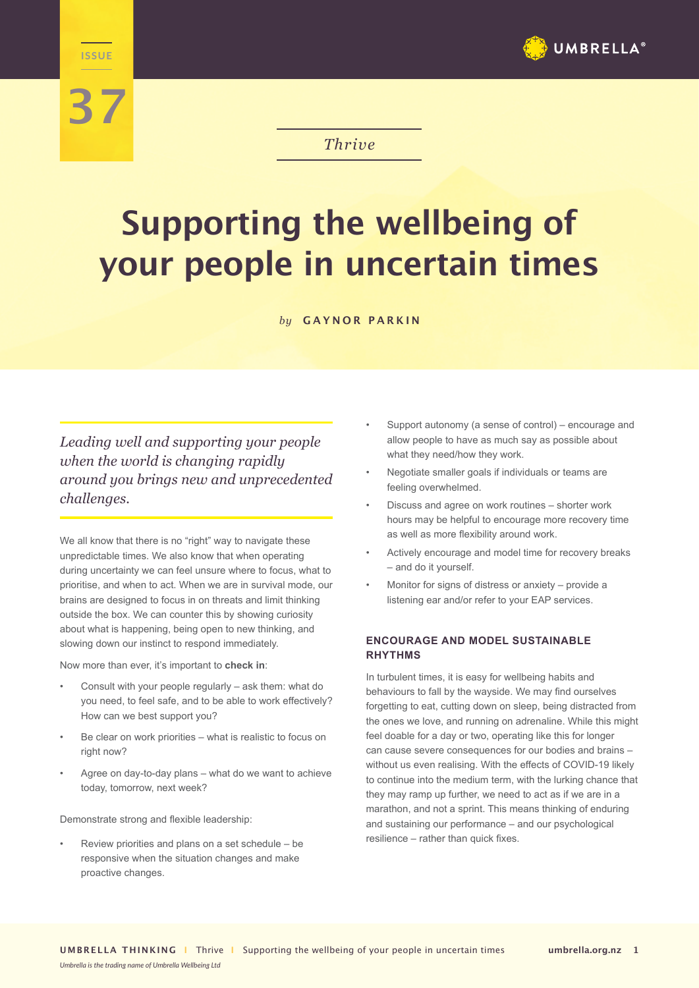

## *Thrive*

# **Supporting the wellbeing of your people in uncertain times**

*by* **GAYNOR PARKIN**

## *Leading well and supporting your people when the world is changing rapidly around you brings new and unprecedented challenges.*

**THRIVE** 

**37**

We all know that there is no "right" way to navigate these unpredictable times. We also know that when operating during uncertainty we can feel unsure where to focus, what to prioritise, and when to act. When we are in survival mode, our brains are designed to focus in on threats and limit thinking outside the box. We can counter this by showing curiosity about what is happening, being open to new thinking, and slowing down our instinct to respond immediately.

Now more than ever, it's important to **check in**:

- Consult with your people regularly ask them: what do you need, to feel safe, and to be able to work effectively? How can we best support you?
- Be clear on work priorities what is realistic to focus on right now?
- Agree on day-to-day plans what do we want to achieve today, tomorrow, next week?

Demonstrate strong and flexible leadership:

• Review priorities and plans on a set schedule – be responsive when the situation changes and make proactive changes.

- Support autonomy (a sense of control) encourage and allow people to have as much say as possible about what they need/how they work.
- Negotiate smaller goals if individuals or teams are feeling overwhelmed.
- Discuss and agree on work routines shorter work hours may be helpful to encourage more recovery time as well as more flexibility around work.
- Actively encourage and model time for recovery breaks – and do it yourself.
- Monitor for signs of distress or anxiety provide a listening ear and/or refer to your EAP services.

#### **ENCOURAGE AND MODEL SUSTAINABLE RHYTHMS**

In turbulent times, it is easy for wellbeing habits and behaviours to fall by the wayside. We may find ourselves forgetting to eat, cutting down on sleep, being distracted from the ones we love, and running on adrenaline. While this might feel doable for a day or two, operating like this for longer can cause severe consequences for our bodies and brains – without us even realising. With the effects of COVID-19 likely to continue into the medium term, with the lurking chance that they may ramp up further, we need to act as if we are in a marathon, and not a sprint. This means thinking of enduring and sustaining our performance – and our psychological resilience – rather than quick fixes.

*Umbrella is the trading name of Umbrella Wellbeing Ltd*